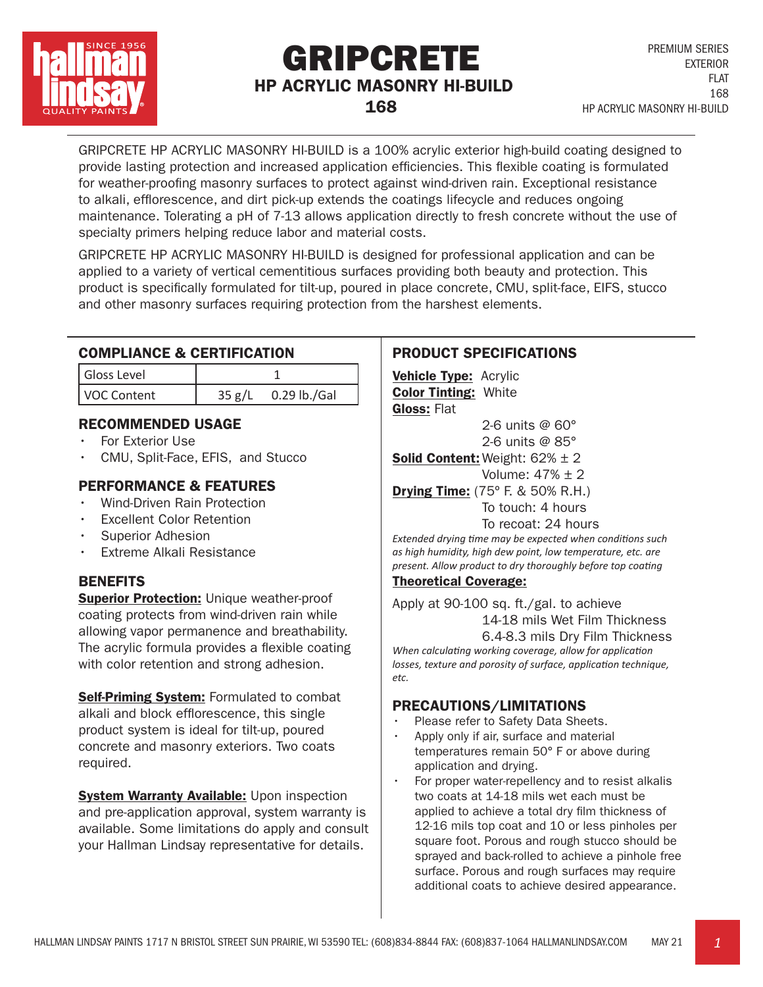

# GRIPCRETE HP ACRYLIC MASONRY HI-BUILD 168

GRIPCRETE HP ACRYLIC MASONRY HI-BUILD is a 100% acrylic exterior high-build coating designed to provide lasting protection and increased application efficiencies. This flexible coating is formulated for weather-proofing masonry surfaces to protect against wind-driven rain. Exceptional resistance to alkali, efflorescence, and dirt pick-up extends the coatings lifecycle and reduces ongoing maintenance. Tolerating a pH of 7-13 allows application directly to fresh concrete without the use of specialty primers helping reduce labor and material costs.

GRIPCRETE HP ACRYLIC MASONRY HI-BUILD is designed for professional application and can be applied to a variety of vertical cementitious surfaces providing both beauty and protection. This product is specifically formulated for tilt-up, poured in place concrete, CMU, split-face, EIFS, stucco and other masonry surfaces requiring protection from the harshest elements.

### COMPLIANCE & CERTIFICATION

| Gloss Level |        |              |
|-------------|--------|--------------|
| VOC Content | 35 g/L | 0.29 lb./Gal |

## RECOMMENDED USAGE

- For Exterior Use
- CMU, Split-Face, EFIS, and Stucco

## PERFORMANCE & FEATURES

- Wind-Driven Rain Protection
- **Excellent Color Retention**
- Superior Adhesion
- Extreme Alkali Resistance

## **BENEFITS**

**Superior Protection: Unique weather-proof** coating protects from wind-driven rain while allowing vapor permanence and breathability. The acrylic formula provides a flexible coating with color retention and strong adhesion.

**Self-Priming System:** Formulated to combat alkali and block efflorescence, this single product system is ideal for tilt-up, poured concrete and masonry exteriors. Two coats required.

**System Warranty Available: Upon inspection** and pre-application approval, system warranty is available. Some limitations do apply and consult your Hallman Lindsay representative for details.

## PRODUCT SPECIFICATIONS

**Vehicle Type: Acrylic** Color Tinting: White Gloss: Flat

 2-6 units @ 60° 2-6 units @ 85°

**Solid Content:** Weight:  $62\% \pm 2$ Volume: 47% ± 2

**Drying Time:** (75° F. & 50% R.H.) To touch: 4 hours

#### To recoat: 24 hours

*Extended drying time may be expected when conditions such as high humidity, high dew point, low temperature, etc. are present. Allow product to dry thoroughly before top coating*

#### Theoretical Coverage:

Apply at 90-100 sq. ft./gal. to achieve 14-18 mils Wet Film Thickness 6.4-8.3 mils Dry Film Thickness

*When calculating working coverage, allow for application losses, texture and porosity of surface, application technique, etc.*

#### PRECAUTIONS/LIMITATIONS

- Please refer to Safety Data Sheets.
- Apply only if air, surface and material temperatures remain 50° F or above during application and drying.
- For proper water-repellency and to resist alkalis two coats at 14-18 mils wet each must be applied to achieve a total dry film thickness of 12-16 mils top coat and 10 or less pinholes per square foot. Porous and rough stucco should be sprayed and back-rolled to achieve a pinhole free surface. Porous and rough surfaces may require additional coats to achieve desired appearance.